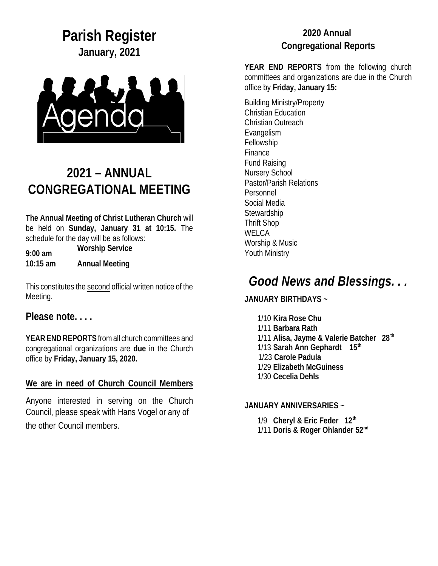**Parish Register January, 2021**



# **2021 – ANNUAL CONGREGATIONAL MEETING**

**The Annual Meeting of Christ Lutheran Church** will be held on **Sunday, January 31 at 10:15.** The schedule for the day will be as follows:

**9:00 am Worship Service 10:15 am Annual Meeting** 

This constitutes the second official written notice of the Meeting.

**Please note. . . .**

**YEAR END REPORTS** from all church committees and congregational organizations are **due** in the Church office by **Friday, January 15, 2020.**

**We are in need of Church Council Members**

Anyone interested in serving on the Church Council, please speak with Hans Vogel or any of the other Council members.

#### **2020 Annual Congregational Reports**

**YEAR END REPORTS** from the following church committees and organizations are due in the Church office by **Friday, January 15:** 

Building Ministry/Property Christian Education Christian Outreach Evangelism Fellowship Finance Fund Raising Nursery School Pastor/Parish Relations Personnel Social Media Stewardship Thrift Shop **WELCA** Worship & Music Youth Ministry

## *Good News and Blessings. . .*

**JANUARY BIRTHDAYS ~**

1/10 **Kira Rose Chu** 1/11 **Barbara Rath** 1/11 **Alisa, Jayme & Valerie Batcher 28th**  1/13 **Sarah Ann Gephardt 15th** 1/23 **Carole Padula** 1/29 **Elizabeth McGuiness** 1/30 **Cecelia Dehls**

#### **JANUARY ANNIVERSARIES** ~

1/9 **Cheryl & Eric Feder 12th** 1/11 **Doris & Roger Ohlander 52nd**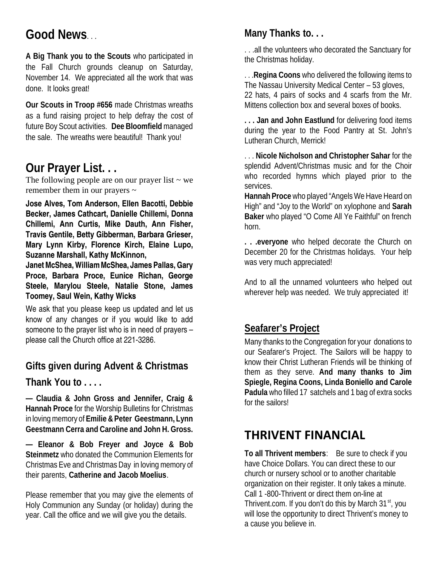# **Good News**. . .

**A Big Thank you to the Scouts** who participated in the Fall Church grounds cleanup on Saturday, November 14. We appreciated all the work that was done. It looks great!

**Our Scouts in Troop #656** made Christmas wreaths as a fund raising project to help defray the cost of future Boy Scout activities. **Dee Bloomfield** managed the sale. The wreaths were beautiful! Thank you!

### **Our Prayer List. . .**

The following people are on our prayer list  $\sim$  we remember them in our prayers  $\sim$ 

**Jose Alves, Tom Anderson, Ellen Bacotti, Debbie Becker, James Cathcart, Danielle Chillemi, Donna Chillemi, Ann Curtis, Mike Dauth, Ann Fisher, Travis Gentile, Betty Gibberman, Barbara Grieser, Mary Lynn Kirby, Florence Kirch, Elaine Lupo, Suzanne Marshall, Kathy McKinnon,** 

**Janet McShea, WilliamMcShea, James Pallas, Gary Proce, Barbara Proce, Eunice Richan, George Steele, Marylou Steele, Natalie Stone, James Toomey, Saul Wein, Kathy Wicks**

We ask that you please keep us updated and let us know of any changes or if you would like to add someone to the prayer list who is in need of prayers – please call the Church office at 221-3286.

**Gifts given during Advent & Christmas**

**Thank You to . . . .** 

**— Claudia & John Gross and Jennifer, Craig & Hannah Proce** for the Worship Bulletins for Christmas in loving memory of **Emilie &Peter Geestmann, Lynn Geestmann Cerra and Caroline and John H. Gross.**

**— Eleanor & Bob Freyer and Joyce & Bob Steinmetz** who donated the Communion Elements for Christmas Eve and Christmas Day in loving memory of their parents, **Catherine and Jacob Moelius**.

Please remember that you may give the elements of Holy Communion any Sunday (or holiday) during the year. Call the office and we will give you the details.

### **Many Thanks to. . .**

. . .all the volunteers who decorated the Sanctuary for the Christmas holiday.

. . .**Regina Coons** who delivered the following items to The Nassau University Medical Center – 53 gloves, 22 hats, 4 pairs of socks and 4 scarfs from the Mr. Mittens collection box and several boxes of books.

**. . . Jan and John Eastlund** for delivering food items during the year to the Food Pantry at St. John's Lutheran Church, Merrick!

. . . **Nicole Nicholson and Christopher Sahar** for the splendid Advent/Christmas music and for the Choir who recorded hymns which played prior to the services.

**Hannah Proce** who played "Angels We Have Heard on High" and "Joy to the World" on xylophone and **Sarah Baker** who played "O Come All Ye Faithful" on french horn.

**. . .everyone** who helped decorate the Church on December 20 for the Christmas holidays. Your help was very much appreciated!

And to all the unnamed volunteers who helped out wherever help was needed. We truly appreciated it!

#### **Seafarer's Project**

Many thanks to the Congregation for your donations to our Seafarer's Project. The Sailors will be happy to know their Christ Lutheran Friends will be thinking of them as they serve. **And many thanks to Jim Spiegle, Regina Coons, Linda Boniello and Carole Padula** who filled 17 satchels and 1 bag of extra socks for the sailors!

### **THRIVENT FINANCIAL**

**To all Thrivent members**: Be sure to check if you have Choice Dollars. You can direct these to our church or nursery school or to another charitable organization on their register. It only takes a minute. Call 1 -800-Thrivent or direct them on-line at Thrivent.com. If you don't do this by March 31<sup>st</sup>, you will lose the opportunity to direct Thrivent's money to a cause you believe in.